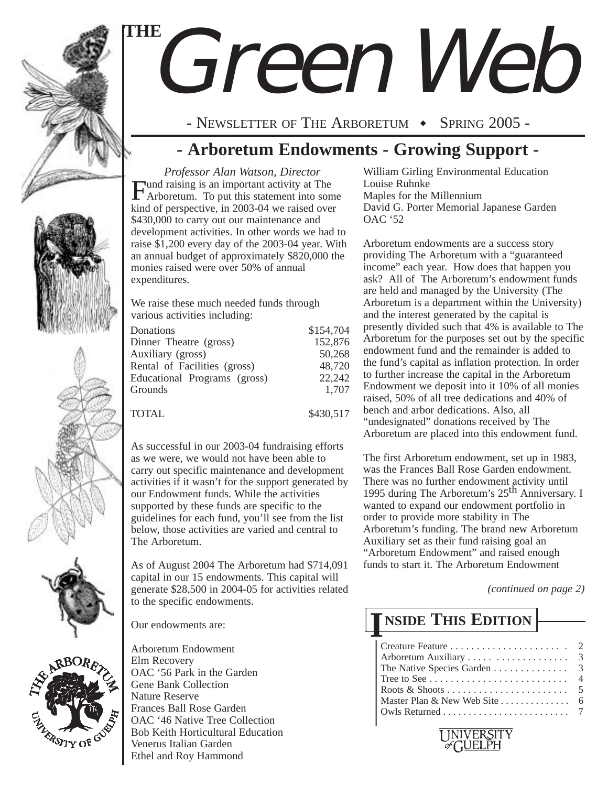

# Green Web **THE**

- NEWSLETTER OF THE ARBORETUM  $\rightarrow$  SPRING 2005 -

# **- Arboretum Endowments - Growing Support -**

*Professor Alan Watson, Director* Fund raising is an important activity at The Arboretum. To put this statement into some kind of perspective, in 2003-04 we raised over \$430,000 to carry out our maintenance and development activities. In other words we had to raise \$1,200 every day of the 2003-04 year. With an annual budget of approximately \$820,000 the monies raised were over 50% of annual expenditures.

We raise these much needed funds through various activities including:

| Donations                    | \$154,704 |
|------------------------------|-----------|
| Dinner Theatre (gross)       | 152,876   |
| Auxiliary (gross)            | 50,268    |
| Rental of Facilities (gross) | 48,720    |
| Educational Programs (gross) | 22,242    |
| Grounds                      | 1,707     |
|                              |           |
| <b>TOTAL</b>                 | \$430,517 |

As successful in our 2003-04 fundraising efforts as we were, we would not have been able to carry out specific maintenance and development activities if it wasn't for the support generated by our Endowment funds. While the activities supported by these funds are specific to the guidelines for each fund, you'll see from the list below, those activities are varied and central to The Arboretum.

As of August 2004 The Arboretum had \$714,091 capital in our 15 endowments. This capital will generate \$28,500 in 2004-05 for activities related to the specific endowments.

Our endowments are:

**ERSITY OF** 



William Girling Environmental Education Louise Ruhnke Maples for the Millennium David G. Porter Memorial Japanese Garden OAC '52

Arboretum endowments are a success story providing The Arboretum with a "guaranteed income" each year. How does that happen you ask? All of The Arboretum's endowment funds are held and managed by the University (The Arboretum is a department within the University) and the interest generated by the capital is presently divided such that 4% is available to The Arboretum for the purposes set out by the specific endowment fund and the remainder is added to the fund's capital as inflation protection. In order to further increase the capital in the Arboretum Endowment we deposit into it 10% of all monies raised, 50% of all tree dedications and 40% of bench and arbor dedications. Also, all "undesignated" donations received by The Arboretum are placed into this endowment fund.

The first Arboretum endowment, set up in 1983, was the Frances Ball Rose Garden endowment. There was no further endowment activity until 1995 during The Arboretum's 25<sup>th</sup> Anniversary. I wanted to expand our endowment portfolio in order to provide more stability in The Arboretum's funding. The brand new Arboretum Auxiliary set as their fund raising goal an "Arboretum Endowment" and raised enough funds to start it. The Arboretum Endowment

*(continued on page 2)*

# **NSIDE THIS EDITION I**

| The Native Species Garden 3                              |  |
|----------------------------------------------------------|--|
|                                                          |  |
|                                                          |  |
| Master Plan & New Web Site $\dots\dots\dots\dots\dots$ 6 |  |
|                                                          |  |
|                                                          |  |

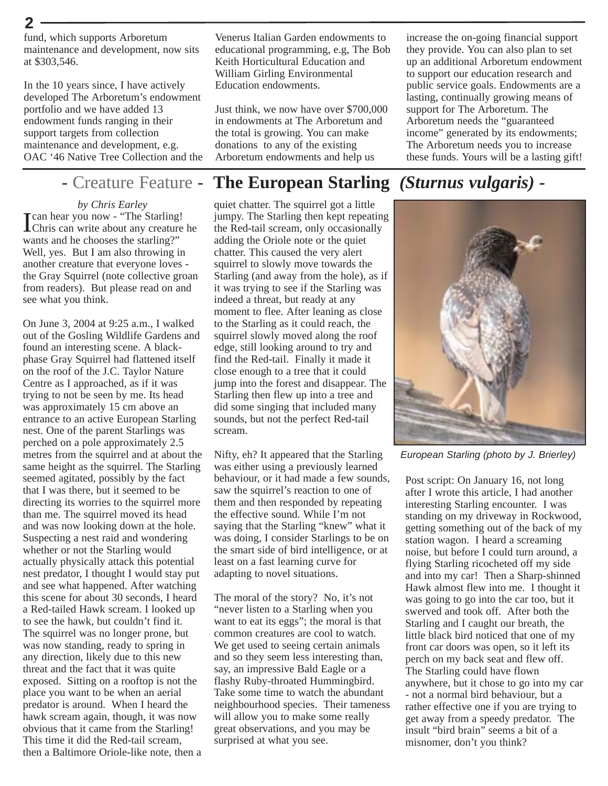fund, which supports Arboretum maintenance and development, now sits at \$303,546.

**2**

In the 10 years since, I have actively developed The Arboretum's endowment portfolio and we have added 13 endowment funds ranging in their support targets from collection maintenance and development, e.g. OAC '46 Native Tree Collection and the

*by Chris Earley* I can hear you now - "The Starling! Chris can write about any creature he wants and he chooses the starling?" Well, yes. But I am also throwing in another creature that everyone loves the Gray Squirrel (note collective groan from readers). But please read on and see what you think.

On June 3, 2004 at 9:25 a.m., I walked out of the Gosling Wildlife Gardens and found an interesting scene. A blackphase Gray Squirrel had flattened itself on the roof of the J.C. Taylor Nature Centre as I approached, as if it was trying to not be seen by me. Its head was approximately 15 cm above an entrance to an active European Starling nest. One of the parent Starlings was perched on a pole approximately 2.5 metres from the squirrel and at about the same height as the squirrel. The Starling seemed agitated, possibly by the fact that I was there, but it seemed to be directing its worries to the squirrel more than me. The squirrel moved its head and was now looking down at the hole. Suspecting a nest raid and wondering whether or not the Starling would actually physically attack this potential nest predator, I thought I would stay put and see what happened. After watching this scene for about 30 seconds, I heard a Red-tailed Hawk scream. I looked up to see the hawk, but couldn't find it. The squirrel was no longer prone, but was now standing, ready to spring in any direction, likely due to this new threat and the fact that it was quite exposed. Sitting on a rooftop is not the place you want to be when an aerial predator is around. When I heard the hawk scream again, though, it was now obvious that it came from the Starling! This time it did the Red-tail scream, then a Baltimore Oriole-like note, then a

Venerus Italian Garden endowments to educational programming, e.g, The Bob Keith Horticultural Education and William Girling Environmental Education endowments.

Just think, we now have over \$700,000 in endowments at The Arboretum and the total is growing. You can make donations to any of the existing Arboretum endowments and help us

### - Creature Feature - **The European Starling** *(Sturnus vulgaris) -*

quiet chatter. The squirrel got a little jumpy. The Starling then kept repeating the Red-tail scream, only occasionally adding the Oriole note or the quiet chatter. This caused the very alert squirrel to slowly move towards the Starling (and away from the hole), as if it was trying to see if the Starling was indeed a threat, but ready at any moment to flee. After leaning as close to the Starling as it could reach, the squirrel slowly moved along the roof edge, still looking around to try and find the Red-tail. Finally it made it close enough to a tree that it could jump into the forest and disappear. The Starling then flew up into a tree and did some singing that included many sounds, but not the perfect Red-tail scream.

Nifty, eh? It appeared that the Starling was either using a previously learned behaviour, or it had made a few sounds, saw the squirrel's reaction to one of them and then responded by repeating the effective sound. While I'm not saying that the Starling "knew" what it was doing, I consider Starlings to be on the smart side of bird intelligence, or at least on a fast learning curve for adapting to novel situations.

The moral of the story? No, it's not "never listen to a Starling when you want to eat its eggs"; the moral is that common creatures are cool to watch. We get used to seeing certain animals and so they seem less interesting than, say, an impressive Bald Eagle or a flashy Ruby-throated Hummingbird. Take some time to watch the abundant neighbourhood species. Their tameness will allow you to make some really great observations, and you may be surprised at what you see.

increase the on-going financial support they provide. You can also plan to set up an additional Arboretum endowment to support our education research and public service goals. Endowments are a lasting, continually growing means of support for The Arboretum. The Arboretum needs the "guaranteed income" generated by its endowments; The Arboretum needs you to increase these funds. Yours will be a lasting gift!



*European Starling (photo by J. Brierley)*

Post script: On January 16, not long after I wrote this article, I had another interesting Starling encounter. I was standing on my driveway in Rockwood, getting something out of the back of my station wagon. I heard a screaming noise, but before I could turn around, a flying Starling ricocheted off my side and into my car! Then a Sharp-shinned Hawk almost flew into me. I thought it was going to go into the car too, but it swerved and took off. After both the Starling and I caught our breath, the little black bird noticed that one of my front car doors was open, so it left its perch on my back seat and flew off. The Starling could have flown anywhere, but it chose to go into my car - not a normal bird behaviour, but a rather effective one if you are trying to get away from a speedy predator. The insult "bird brain" seems a bit of a misnomer, don't you think?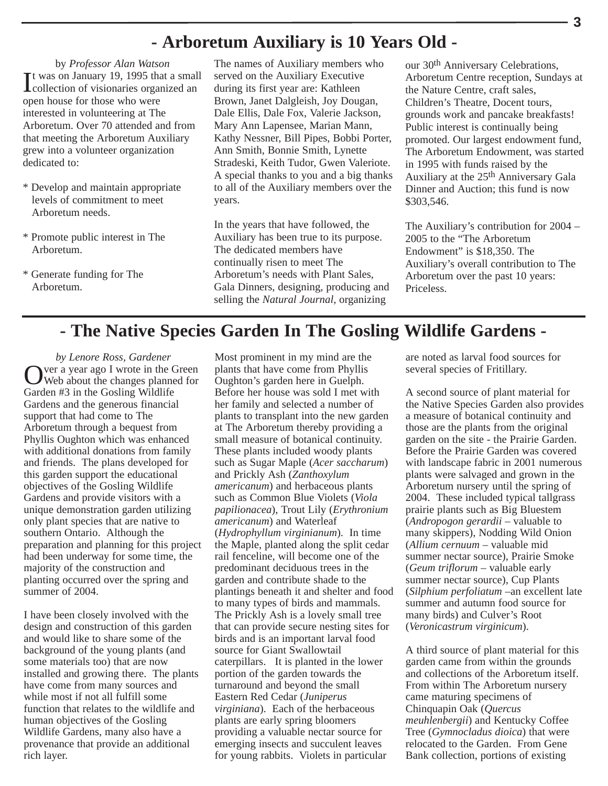### **- Arboretum Auxiliary is 10 Years Old -**

by *Professor Alan Watson* It was on January 19, 1995 that a small<br>Collection of visionaries organized an collection of visionaries organized an open house for those who were interested in volunteering at The Arboretum. Over 70 attended and from that meeting the Arboretum Auxiliary grew into a volunteer organization dedicated to:

- \* Develop and maintain appropriate levels of commitment to meet Arboretum needs.
- \* Promote public interest in The Arboretum.
- \* Generate funding for The Arboretum.

The names of Auxiliary members who served on the Auxiliary Executive during its first year are: Kathleen Brown, Janet Dalgleish, Joy Dougan, Dale Ellis, Dale Fox, Valerie Jackson, Mary Ann Lapensee, Marian Mann, Kathy Nessner, Bill Pipes, Bobbi Porter, Ann Smith, Bonnie Smith, Lynette Stradeski, Keith Tudor, Gwen Valeriote. A special thanks to you and a big thanks to all of the Auxiliary members over the years.

In the years that have followed, the Auxiliary has been true to its purpose. The dedicated members have continually risen to meet The Arboretum's needs with Plant Sales, Gala Dinners, designing, producing and selling the *Natural Journal*, organizing

our 30th Anniversary Celebrations, Arboretum Centre reception, Sundays at the Nature Centre, craft sales, Children's Theatre, Docent tours, grounds work and pancake breakfasts! Public interest is continually being promoted. Our largest endowment fund, The Arboretum Endowment, was started in 1995 with funds raised by the Auxiliary at the 25th Anniversary Gala Dinner and Auction; this fund is now \$303,546.

The Auxiliary's contribution for 2004 – 2005 to the "The Arboretum Endowment" is \$18,350. The Auxiliary's overall contribution to The Arboretum over the past 10 years: Priceless.

### **- The Native Species Garden In The Gosling Wildlife Gardens -**

*by Lenore Ross, Gardener* Over a year ago I wrote in the Green Web about the changes planned for Garden #3 in the Gosling Wildlife Gardens and the generous financial support that had come to The Arboretum through a bequest from Phyllis Oughton which was enhanced with additional donations from family and friends. The plans developed for this garden support the educational objectives of the Gosling Wildlife Gardens and provide visitors with a unique demonstration garden utilizing only plant species that are native to southern Ontario. Although the preparation and planning for this project had been underway for some time, the majority of the construction and planting occurred over the spring and summer of 2004.

I have been closely involved with the design and construction of this garden and would like to share some of the background of the young plants (and some materials too) that are now installed and growing there. The plants have come from many sources and while most if not all fulfill some function that relates to the wildlife and human objectives of the Gosling Wildlife Gardens, many also have a provenance that provide an additional rich layer.

Most prominent in my mind are the plants that have come from Phyllis Oughton's garden here in Guelph. Before her house was sold I met with her family and selected a number of plants to transplant into the new garden at The Arboretum thereby providing a small measure of botanical continuity. These plants included woody plants such as Sugar Maple (*Acer saccharum*) and Prickly Ash (*Zanthoxylum americanum*) and herbaceous plants such as Common Blue Violets (*Viola papilionacea*), Trout Lily (*Erythronium americanum*) and Waterleaf (*Hydrophyllum virginianum*). In time the Maple, planted along the split cedar rail fenceline, will become one of the predominant deciduous trees in the garden and contribute shade to the plantings beneath it and shelter and food to many types of birds and mammals. The Prickly Ash is a lovely small tree that can provide secure nesting sites for birds and is an important larval food source for Giant Swallowtail caterpillars. It is planted in the lower portion of the garden towards the turnaround and beyond the small Eastern Red Cedar (*Juniperus virginiana*). Each of the herbaceous plants are early spring bloomers providing a valuable nectar source for emerging insects and succulent leaves for young rabbits. Violets in particular

are noted as larval food sources for several species of Fritillary.

A second source of plant material for the Native Species Garden also provides a measure of botanical continuity and those are the plants from the original garden on the site - the Prairie Garden. Before the Prairie Garden was covered with landscape fabric in 2001 numerous plants were salvaged and grown in the Arboretum nursery until the spring of 2004. These included typical tallgrass prairie plants such as Big Bluestem (*Andropogon gerardii* – valuable to many skippers), Nodding Wild Onion (*Allium cernuum* – valuable mid summer nectar source), Prairie Smoke (*Geum triflorum* – valuable early summer nectar source), Cup Plants (*Silphium perfoliatum* –an excellent late summer and autumn food source for many birds) and Culver's Root (*Veronicastrum virginicum*).

A third source of plant material for this garden came from within the grounds and collections of the Arboretum itself. From within The Arboretum nursery came maturing specimens of Chinquapin Oak (*Quercus meuhlenbergii*) and Kentucky Coffee Tree (*Gymnocladus dioica*) that were relocated to the Garden. From Gene Bank collection, portions of existing

**3**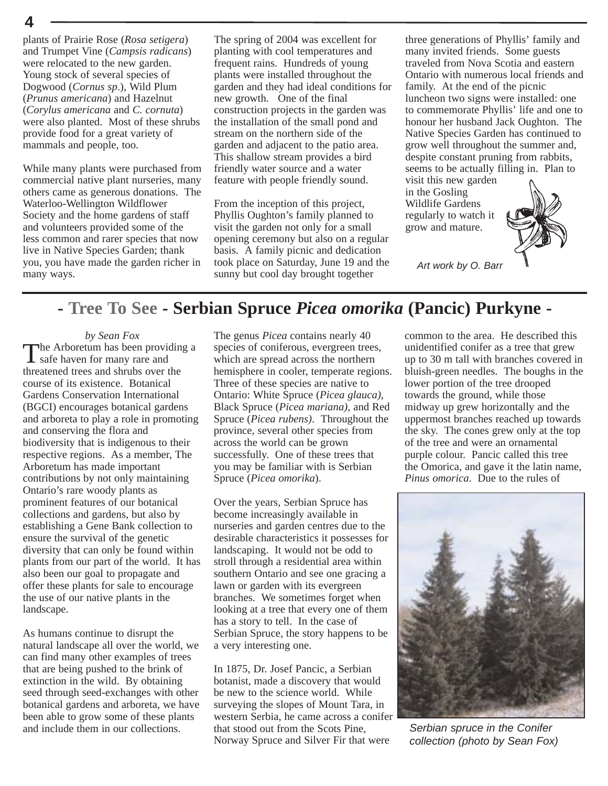plants of Prairie Rose (*Rosa setigera*) and Trumpet Vine (*Campsis radicans*) were relocated to the new garden. Young stock of several species of Dogwood (*Cornus sp*.), Wild Plum (*Prunus americana*) and Hazelnut (*Corylus americana* and *C. cornuta*) were also planted. Most of these shrubs provide food for a great variety of mammals and people, too.

**4**

While many plants were purchased from commercial native plant nurseries, many others came as generous donations. The Waterloo-Wellington Wildflower Society and the home gardens of staff and volunteers provided some of the less common and rarer species that now live in Native Species Garden; thank you, you have made the garden richer in many ways.

The spring of 2004 was excellent for planting with cool temperatures and frequent rains. Hundreds of young plants were installed throughout the garden and they had ideal conditions for new growth. One of the final construction projects in the garden was the installation of the small pond and stream on the northern side of the garden and adjacent to the patio area. This shallow stream provides a bird friendly water source and a water feature with people friendly sound.

From the inception of this project, Phyllis Oughton's family planned to visit the garden not only for a small opening ceremony but also on a regular basis. A family picnic and dedication took place on Saturday, June 19 and the sunny but cool day brought together

three generations of Phyllis' family and many invited friends. Some guests traveled from Nova Scotia and eastern Ontario with numerous local friends and family. At the end of the picnic luncheon two signs were installed: one to commemorate Phyllis' life and one to honour her husband Jack Oughton. The Native Species Garden has continued to grow well throughout the summer and, despite constant pruning from rabbits, seems to be actually filling in. Plan to visit this new garden

in the Gosling Wildlife Gardens regularly to watch it grow and mature.



*Art work by O. Barr*

# **- Tree To See - Serbian Spruce** *Picea omorika* **(Pancic) Purkyne -**

#### *by Sean Fox*

The Arboretum has been providing a safe haven for many rare and threatened trees and shrubs over the course of its existence. Botanical Gardens Conservation International (BGCI) encourages botanical gardens and arboreta to play a role in promoting and conserving the flora and biodiversity that is indigenous to their respective regions. As a member, The Arboretum has made important contributions by not only maintaining Ontario's rare woody plants as prominent features of our botanical collections and gardens, but also by establishing a Gene Bank collection to ensure the survival of the genetic diversity that can only be found within plants from our part of the world. It has also been our goal to propagate and offer these plants for sale to encourage the use of our native plants in the landscape.

As humans continue to disrupt the natural landscape all over the world, we can find many other examples of trees that are being pushed to the brink of extinction in the wild. By obtaining seed through seed-exchanges with other botanical gardens and arboreta, we have been able to grow some of these plants and include them in our collections.

The genus *Picea* contains nearly 40 species of coniferous, evergreen trees, which are spread across the northern hemisphere in cooler, temperate regions. Three of these species are native to Ontario: White Spruce (*Picea glauca)*, Black Spruce (*Picea mariana)*, and Red Spruce (*Picea rubens)*. Throughout the province, several other species from across the world can be grown successfully. One of these trees that you may be familiar with is Serbian Spruce (*Picea omorika*).

Over the years, Serbian Spruce has become increasingly available in nurseries and garden centres due to the desirable characteristics it possesses for landscaping. It would not be odd to stroll through a residential area within southern Ontario and see one gracing a lawn or garden with its evergreen branches. We sometimes forget when looking at a tree that every one of them has a story to tell. In the case of Serbian Spruce, the story happens to be a very interesting one.

In 1875, Dr. Josef Pancic, a Serbian botanist, made a discovery that would be new to the science world. While surveying the slopes of Mount Tara, in western Serbia, he came across a conifer that stood out from the Scots Pine, Norway Spruce and Silver Fir that were

common to the area. He described this unidentified conifer as a tree that grew up to 30 m tall with branches covered in bluish-green needles. The boughs in the lower portion of the tree drooped towards the ground, while those midway up grew horizontally and the uppermost branches reached up towards the sky. The cones grew only at the top of the tree and were an ornamental purple colour. Pancic called this tree the Omorica, and gave it the latin name, *Pinus omorica*. Due to the rules of



*Serbian spruce in the Conifer collection (photo by Sean Fox)*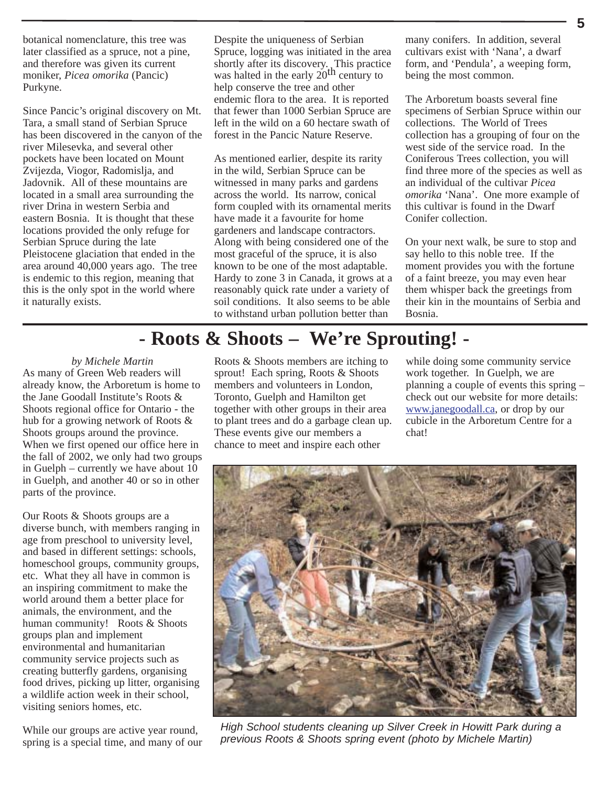botanical nomenclature, this tree was later classified as a spruce, not a pine, and therefore was given its current moniker, *Picea omorika* (Pancic) Purkyne.

Since Pancic's original discovery on Mt. Tara, a small stand of Serbian Spruce has been discovered in the canyon of the river Milesevka, and several other pockets have been located on Mount Zvijezda, Viogor, Radomislja, and Jadovnik. All of these mountains are located in a small area surrounding the river Drina in western Serbia and eastern Bosnia. It is thought that these locations provided the only refuge for Serbian Spruce during the late Pleistocene glaciation that ended in the area around 40,000 years ago. The tree is endemic to this region, meaning that this is the only spot in the world where it naturally exists.

Despite the uniqueness of Serbian Spruce, logging was initiated in the area shortly after its discovery. This practice was halted in the early 20<sup>th</sup> century to help conserve the tree and other endemic flora to the area. It is reported that fewer than 1000 Serbian Spruce are left in the wild on a 60 hectare swath of forest in the Pancic Nature Reserve.

As mentioned earlier, despite its rarity in the wild, Serbian Spruce can be witnessed in many parks and gardens across the world. Its narrow, conical form coupled with its ornamental merits have made it a favourite for home gardeners and landscape contractors. Along with being considered one of the most graceful of the spruce, it is also known to be one of the most adaptable. Hardy to zone 3 in Canada, it grows at a reasonably quick rate under a variety of soil conditions. It also seems to be able to withstand urban pollution better than

many conifers. In addition, several cultivars exist with 'Nana', a dwarf form, and 'Pendula', a weeping form, being the most common.

The Arboretum boasts several fine specimens of Serbian Spruce within our collections. The World of Trees collection has a grouping of four on the west side of the service road. In the Coniferous Trees collection, you will find three more of the species as well as an individual of the cultivar *Picea omorika* 'Nana'. One more example of this cultivar is found in the Dwarf Conifer collection.

On your next walk, be sure to stop and say hello to this noble tree. If the moment provides you with the fortune of a faint breeze, you may even hear them whisper back the greetings from their kin in the mountains of Serbia and Bosnia.

# **- Roots & Shoots – We're Sprouting! -**

*by Michele Martin* As many of Green Web readers will already know, the Arboretum is home to the Jane Goodall Institute's Roots & Shoots regional office for Ontario - the hub for a growing network of Roots & Shoots groups around the province. When we first opened our office here in the fall of 2002, we only had two groups in Guelph – currently we have about 10 in Guelph, and another 40 or so in other parts of the province.

Our Roots & Shoots groups are a diverse bunch, with members ranging in age from preschool to university level, and based in different settings: schools, homeschool groups, community groups, etc. What they all have in common is an inspiring commitment to make the world around them a better place for animals, the environment, and the human community! Roots & Shoots groups plan and implement environmental and humanitarian community service projects such as creating butterfly gardens, organising food drives, picking up litter, organising a wildlife action week in their school, visiting seniors homes, etc.

While our groups are active year round, spring is a special time, and many of our

Roots & Shoots members are itching to sprout! Each spring, Roots & Shoots members and volunteers in London, Toronto, Guelph and Hamilton get together with other groups in their area to plant trees and do a garbage clean up. These events give our members a chance to meet and inspire each other

while doing some community service work together. In Guelph, we are planning a couple of events this spring – check out our website for more details: www.janegoodall.ca, or drop by our cubicle in the Arboretum Centre for a chat!



*High School students cleaning up Silver Creek in Howitt Park during a previous Roots & Shoots spring event (photo by Michele Martin)*

**5**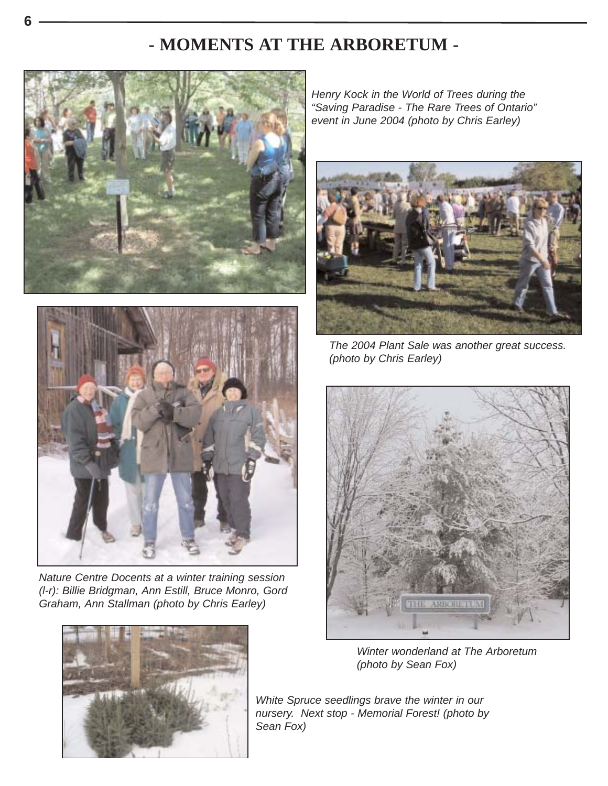# **- MOMENTS AT THE ARBORETUM -**





*Nature Centre Docents at a winter training session (l-r): Billie Bridgman, Ann Estill, Bruce Monro, Gord Graham, Ann Stallman (photo by Chris Earley)*



*Henry Kock in the World of Trees during the "Saving Paradise - The Rare Trees of Ontario" event in June 2004 (photo by Chris Earley)*



*The 2004 Plant Sale was another great success. (photo by Chris Earley)*



*Winter wonderland at The Arboretum (photo by Sean Fox)*

*White Spruce seedlings brave the winter in our nursery. Next stop - Memorial Forest! (photo by Sean Fox)*

**6**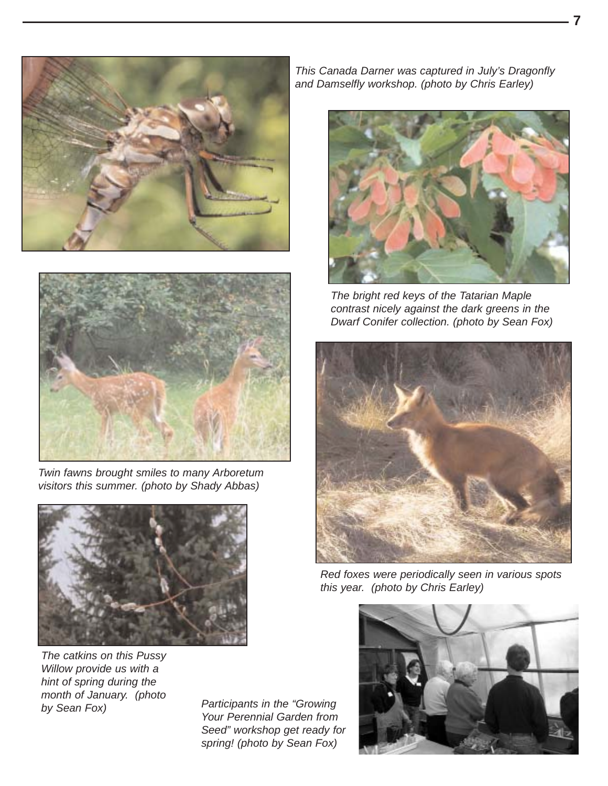



*Twin fawns brought smiles to many Arboretum visitors this summer. (photo by Shady Abbas)*



*The catkins on this Pussy Willow provide us with a hint of spring during the month of January. (photo*

*by Sean Fox) Participants in the "Growing Your Perennial Garden from Seed" workshop get ready for spring! (photo by Sean Fox)*

*This Canada Darner was captured in July's Dragonfly and Damselfly workshop. (photo by Chris Earley)*



*The bright red keys of the Tatarian Maple contrast nicely against the dark greens in the Dwarf Conifer collection. (photo by Sean Fox)*



*Red foxes were periodically seen in various spots this year. (photo by Chris Earley)*



**7**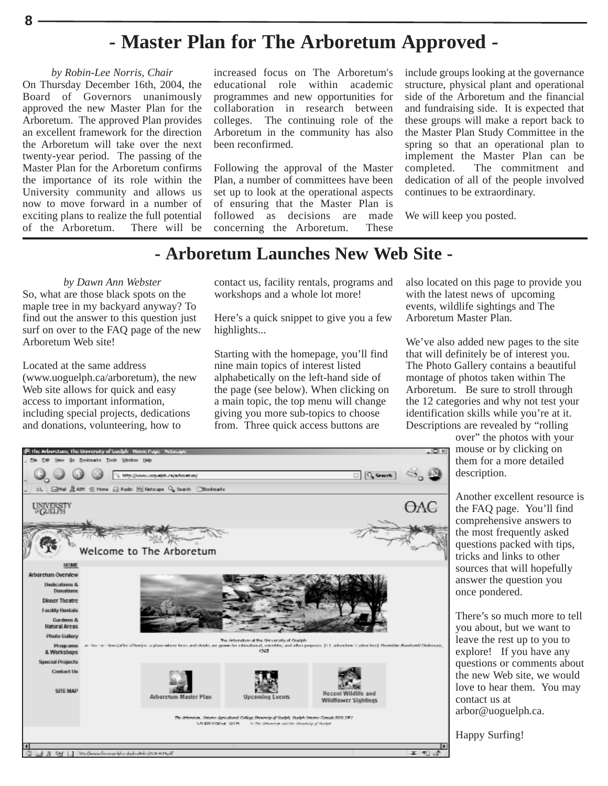# **- Master Plan for The Arboretum Approved -**

#### *by Robin-Lee Norris, Chair*

**8**

On Thursday December 16th, 2004, the Board of Governors unanimously approved the new Master Plan for the Arboretum. The approved Plan provides an excellent framework for the direction the Arboretum will take over the next twenty-year period. The passing of the Master Plan for the Arboretum confirms the importance of its role within the University community and allows us now to move forward in a number of exciting plans to realize the full potential<br>of the Arboretum. There will be of the Arboretum.

increased focus on The Arboretum's educational role within academic programmes and new opportunities for collaboration in research between colleges. The continuing role of the Arboretum in the community has also been reconfirmed.

Following the approval of the Master Plan, a number of committees have been set up to look at the operational aspects of ensuring that the Master Plan is followed as decisions are made concerning the Arboretum. These

include groups looking at the governance structure, physical plant and operational side of the Arboretum and the financial and fundraising side. It is expected that these groups will make a report back to the Master Plan Study Committee in the spring so that an operational plan to implement the Master Plan can be completed. The commitment and dedication of all of the people involved continues to be extraordinary.

We will keep you posted.

### **- Arboretum Launches New Web Site -**

*by Dawn Ann Webster* So, what are those black spots on the maple tree in my backyard anyway? To find out the answer to this question just surf on over to the FAQ page of the new Arboretum Web site!

Located at the same address (www.uoguelph.ca/arboretum), the new Web site allows for quick and easy access to important information, including special projects, dedications and donations, volunteering, how to

contact us, facility rentals, programs and workshops and a whole lot more!

Here's a quick snippet to give you a few highlights...

Starting with the homepage, you'll find nine main topics of interest listed alphabetically on the left-hand side of the page (see below). When clicking on a main topic, the top menu will change giving you more sub-topics to choose from. Three quick access buttons are

also located on this page to provide you with the latest news of upcoming events, wildlife sightings and The Arboretum Master Plan.

We've also added new pages to the site that will definitely be of interest you. The Photo Gallery contains a beautiful montage of photos taken within The Arboretum. Be sure to stroll through the 12 categories and why not test your identification skills while you're at it. Descriptions are revealed by "rolling

over" the photos with your mouse or by clicking on them for a more detailed description.

Another excellent resource is the FAQ page. You'll find comprehensive answers to the most frequently asked questions packed with tips, tricks and links to other sources that will hopefully answer the question you once pondered.

There's so much more to tell you about, but we want to leave the rest up to you to explore! If you have any questions or comments about the new Web site, we would love to hear them. You may contact us at arbor@uoguelph.ca.

Happy Surfing!

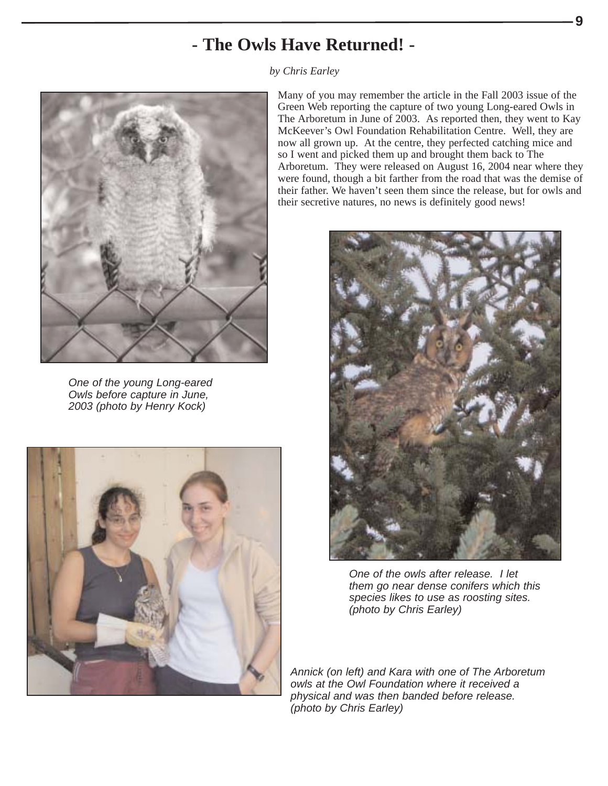# **- The Owls Have Returned! -**

*by Chris Earley*



*One of the young Long-eared Owls before capture in June, 2003 (photo by Henry Kock)*



Many of you may remember the article in the Fall 2003 issue of the Green Web reporting the capture of two young Long-eared Owls in The Arboretum in June of 2003. As reported then, they went to Kay McKeever's Owl Foundation Rehabilitation Centre. Well, they are now all grown up. At the centre, they perfected catching mice and so I went and picked them up and brought them back to The Arboretum. They were released on August 16, 2004 near where they were found, though a bit farther from the road that was the demise of their father. We haven't seen them since the release, but for owls and their secretive natures, no news is definitely good news!

**9**



*One of the owls after release. I let them go near dense conifers which this species likes to use as roosting sites. (photo by Chris Earley)*

*Annick (on left) and Kara with one of The Arboretum owls at the Owl Foundation where it received a physical and was then banded before release. (photo by Chris Earley)*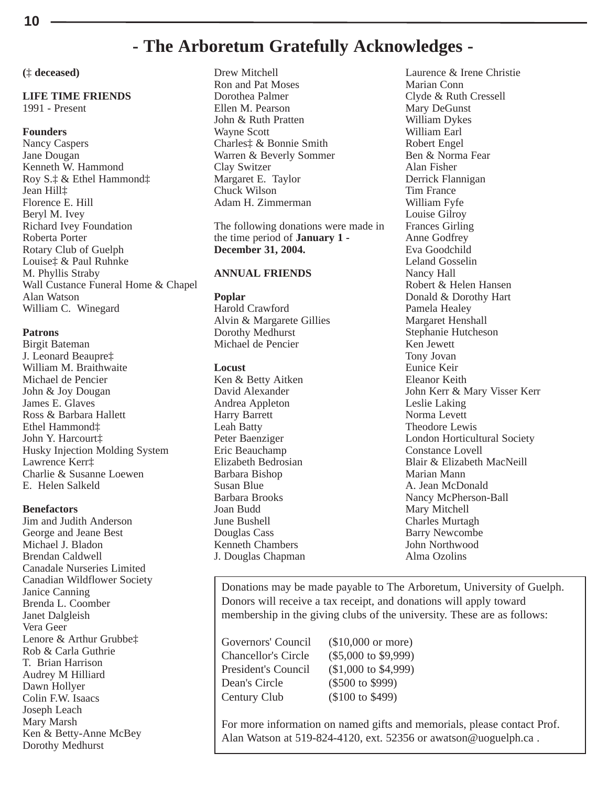### **- The Arboretum Gratefully Acknowledges -**

**(**‡ **deceased)**

#### **LIFE TIME FRIENDS**

1991 - Present

#### **Founders**

Nancy Caspers Jane Dougan Kenneth W. Hammond Roy S.‡ & Ethel Hammond‡ Jean Hill‡ Florence E. Hill Beryl M. Ivey Richard Ivey Foundation Roberta Porter Rotary Club of Guelph Louise‡ & Paul Ruhnke M. Phyllis Straby Wall Custance Funeral Home & Chapel Alan Watson William C. Winegard

#### **Patrons**

Birgit Bateman J. Leonard Beaupre‡ William M. Braithwaite Michael de Pencier John & Joy Dougan James E. Glaves Ross & Barbara Hallett Ethel Hammond‡ John Y. Harcourt‡ Husky Injection Molding System Lawrence Kerr‡ Charlie & Susanne Loewen E. Helen Salkeld

#### **Benefactors**

Jim and Judith Anderson George and Jeane Best Michael J. Bladon Brendan Caldwell Canadale Nurseries Limited Canadian Wildflower Society Janice Canning Brenda L. Coomber Janet Dalgleish Vera Geer Lenore & Arthur Grubbe‡ Rob & Carla Guthrie T. Brian Harrison Audrey M Hilliard Dawn Hollyer Colin F.W. Isaacs Joseph Leach Mary Marsh Ken & Betty-Anne McBey Dorothy Medhurst

Drew Mitchell Ron and Pat Moses Dorothea Palmer Ellen M. Pearson John & Ruth Pratten Wayne Scott Charles‡ & Bonnie Smith Warren & Beverly Sommer Clay Switzer Margaret E. Taylor Chuck Wilson Adam H. Zimmerman

The following donations were made in the time period of **January 1 - December 31, 2004.**

#### **ANNUAL FRIENDS**

#### **Poplar**

Harold Crawford Alvin & Margarete Gillies Dorothy Medhurst Michael de Pencier

#### **Locust**

Ken & Betty Aitken David Alexander Andrea Appleton Harry Barrett Leah Batty Peter Baenziger Eric Beauchamp Elizabeth Bedrosian Barbara Bishop Susan Blue Barbara Brooks Joan Budd June Bushell Douglas Cass Kenneth Chambers J. Douglas Chapman

Laurence & Irene Christie Marian Conn Clyde & Ruth Cressell Mary DeGunst William Dykes William Earl Robert Engel Ben & Norma Fear Alan Fisher Derrick Flannigan Tim France William Fyfe Louise Gilroy Frances Girling Anne Godfrey Eva Goodchild Leland Gosselin Nancy Hall Robert & Helen Hansen Donald & Dorothy Hart Pamela Healey Margaret Henshall Stephanie Hutcheson Ken Jewett Tony Jovan Eunice Keir Eleanor Keith John Kerr & Mary Visser Kerr Leslie Laking Norma Levett Theodore Lewis London Horticultural Society Constance Lovell Blair & Elizabeth MacNeill Marian Mann A. Jean McDonald Nancy McPherson-Ball Mary Mitchell Charles Murtagh Barry Newcombe John Northwood Alma Ozolins

Donations may be made payable to The Arboretum, University of Guelph. Donors will receive a tax receipt, and donations will apply toward membership in the giving clubs of the university. These are as follows:

Governors' Council (\$10,000 or more) Chancellor's Circle (\$5,000 to \$9,999) President's Council (\$1,000 to \$4,999) Dean's Circle (\$500 to \$999) Century Club (\$100 to \$499)

For more information on named gifts and memorials, please contact Prof. Alan Watson at 519-824-4120, ext. 52356 or awatson@uoguelph.ca .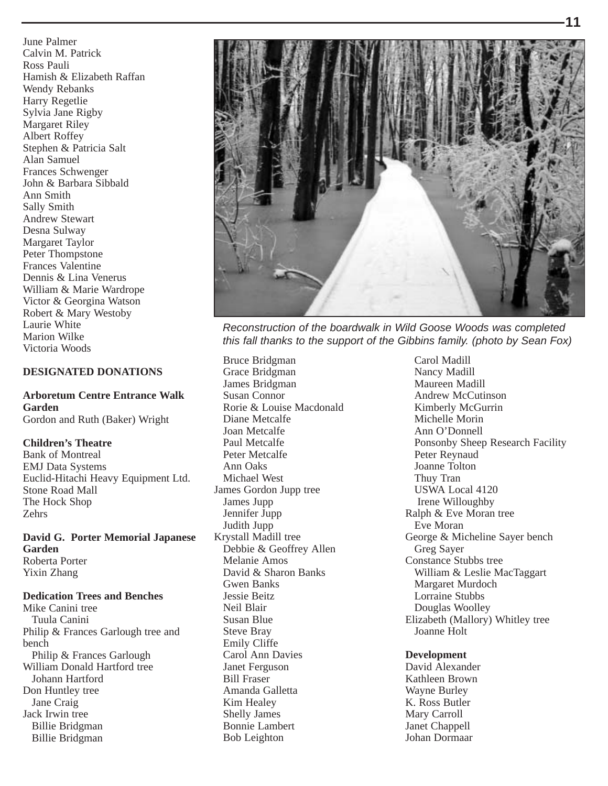June Palmer Calvin M. Patrick Ross Pauli Hamish & Elizabeth Raffan Wendy Rebanks Harry Regetlie Sylvia Jane Rigby Margaret Riley Albert Roffey Stephen & Patricia Salt Alan Samuel Frances Schwenger John & Barbara Sibbald Ann Smith Sally Smith Andrew Stewart Desna Sulway Margaret Taylor Peter Thompstone Frances Valentine Dennis & Lina Venerus William & Marie Wardrope Victor & Georgina Watson Robert & Mary Westoby Laurie White Marion Wilke Victoria Woods

#### **DESIGNATED DONATIONS**

**Arboretum Centre Entrance Walk Garden** Gordon and Ruth (Baker) Wright

#### **Children's Theatre**

Bank of Montreal EMJ Data Systems Euclid-Hitachi Heavy Equipment Ltd. Stone Road Mall The Hock Shop Zehrs

**David G. Porter Memorial Japanese Garden** Roberta Porter Yixin Zhang

#### **Dedication Trees and Benches**

Mike Canini tree Tuula Canini Philip & Frances Garlough tree and bench Philip & Frances Garlough William Donald Hartford tree Johann Hartford Don Huntley tree Jane Craig Jack Irwin tree Billie Bridgman Billie Bridgman



*Reconstruction of the boardwalk in Wild Goose Woods was completed this fall thanks to the support of the Gibbins family. (photo by Sean Fox)*

Bruce Bridgman Grace Bridgman James Bridgman Susan Connor Rorie & Louise Macdonald Diane Metcalfe Joan Metcalfe Paul Metcalfe Peter Metcalfe Ann Oaks Michael West James Gordon Jupp tree James Jupp Jennifer Jupp Judith Jupp Krystall Madill tree Debbie & Geoffrey Allen Melanie Amos David & Sharon Banks Gwen Banks Jessie Beitz Neil Blair Susan Blue Steve Bray Emily Cliffe Carol Ann Davies Janet Ferguson Bill Fraser Amanda Galletta Kim Healey Shelly James Bonnie Lambert Bob Leighton

Carol Madill Nancy Madill Maureen Madill Andrew McCutinson Kimberly McGurrin Michelle Morin Ann O'Donnell Ponsonby Sheep Research Facility Peter Reynaud Joanne Tolton Thuy Tran USWA Local 4120 Irene Willoughby Ralph & Eve Moran tree Eve Moran George & Micheline Sayer bench Greg Sayer Constance Stubbs tree William & Leslie MacTaggart Margaret Murdoch Lorraine Stubbs Douglas Woolley Elizabeth (Mallory) Whitley tree Joanne Holt

#### **Development**

David Alexander Kathleen Brown Wayne Burley K. Ross Butler Mary Carroll Janet Chappell Johan Dormaar